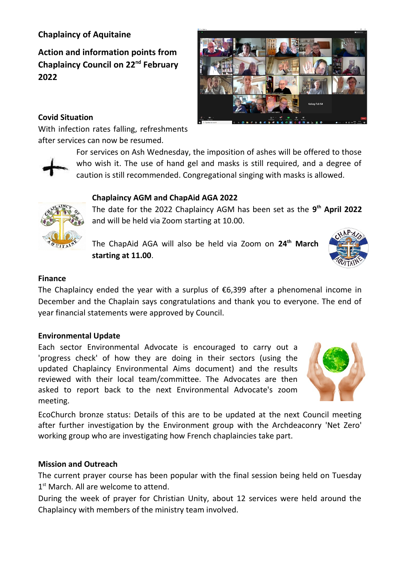# **Chaplaincy of Aquitaine**

**Action and information points from Chaplaincy Council on 22nd February 2022**

## **Covid Situation**

With infection rates falling, refreshments after services can now be resumed.

> For services on Ash Wednesday, the imposition of ashes will be offered to those who wish it. The use of hand gel and masks is still required, and a degree of caution is still recommended. Congregational singing with masks is allowed.

# **Chaplaincy AGM and ChapAid AGA 2022**

The date for the 2022 Chaplaincy AGM has been set as the **9th April 2022** and will be held via Zoom starting at 10.00.

The ChapAid AGA will also be held via Zoom on **24th March starting at 11.00**.

## **Finance**

The Chaplaincy ended the year with a surplus of  $\epsilon$ 6,399 after a phenomenal income in December and the Chaplain says congratulations and thank you to everyone. The end of year financial statements were approved by Council.

## **Environmental Update**

Each sector Environmental Advocate is encouraged to carry out a 'progress check' of how they are doing in their sectors (using the updated Chaplaincy Environmental Aims document) and the results reviewed with their local team/committee. The Advocates are then asked to report back to the next Environmental Advocate's zoom meeting.

EcoChurch bronze status: Details of this are to be updated at the next Council meeting after further investigation by the Environment group with the Archdeaconry 'Net Zero' working group who are investigating how French chaplaincies take part.

## **Mission and Outreach**

The current prayer course has been popular with the final session being held on Tuesday 1<sup>st</sup> March. All are welcome to attend.

During the week of prayer for Christian Unity, about 12 services were held around the Chaplaincy with members of the ministry team involved.